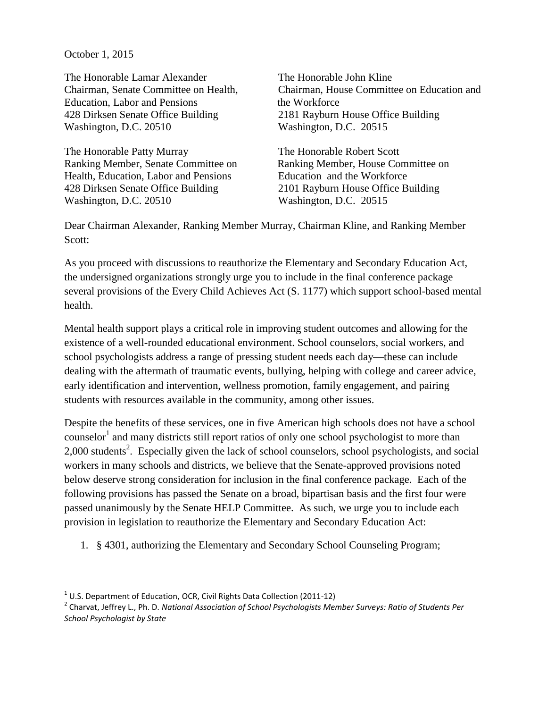October 1, 2015

The Honorable Lamar Alexander Chairman, Senate Committee on Health, Education, Labor and Pensions 428 Dirksen Senate Office Building Washington, D.C. 20510

The Honorable Patty Murray Ranking Member, Senate Committee on Health, Education, Labor and Pensions 428 Dirksen Senate Office Building Washington, D.C. 20510

The Honorable John Kline Chairman, House Committee on Education and the Workforce 2181 Rayburn House Office Building Washington, D.C. 20515

The Honorable Robert Scott Ranking Member, House Committee on Education and the Workforce 2101 Rayburn House Office Building Washington, D.C. 20515

Dear Chairman Alexander, Ranking Member Murray, Chairman Kline, and Ranking Member Scott:

As you proceed with discussions to reauthorize the Elementary and Secondary Education Act, the undersigned organizations strongly urge you to include in the final conference package several provisions of the Every Child Achieves Act (S. 1177) which support school-based mental health.

Mental health support plays a critical role in improving student outcomes and allowing for the existence of a well-rounded educational environment. School counselors, social workers, and school psychologists address a range of pressing student needs each day—these can include dealing with the aftermath of traumatic events, bullying, helping with college and career advice, early identification and intervention, wellness promotion, family engagement, and pairing students with resources available in the community, among other issues.

Despite the benefits of these services, one in five American high schools does not have a school counselor<sup>1</sup> and many districts still report ratios of only one school psychologist to more than 2,000 students<sup>2</sup>. Especially given the lack of school counselors, school psychologists, and social workers in many schools and districts, we believe that the Senate-approved provisions noted below deserve strong consideration for inclusion in the final conference package. Each of the following provisions has passed the Senate on a broad, bipartisan basis and the first four were passed unanimously by the Senate HELP Committee. As such, we urge you to include each provision in legislation to reauthorize the Elementary and Secondary Education Act:

1. § 4301, authorizing the Elementary and Secondary School Counseling Program;

 $\overline{\phantom{a}}$ 

 $^{1}$  U.S. Department of Education, OCR, Civil Rights Data Collection (2011-12)

<sup>2</sup> Charvat, Jeffrey L., Ph. D. *National Association of School Psychologists Member Surveys: Ratio of Students Per School Psychologist by State*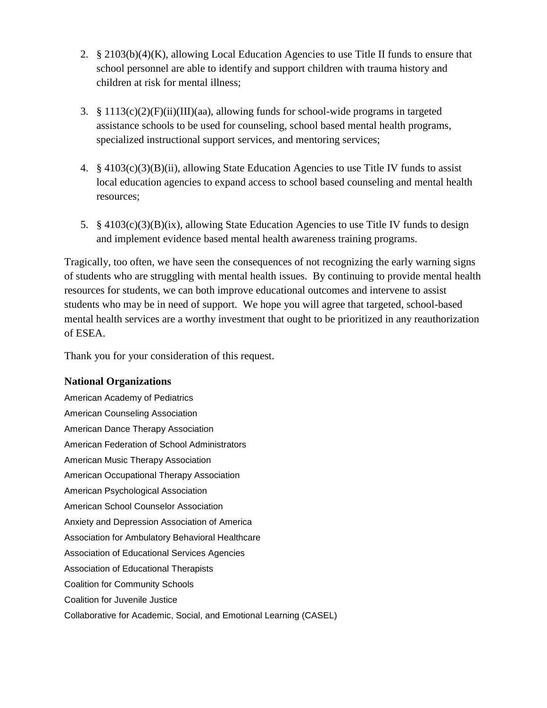- 2.  $\S 2103(b)(4)(K)$ , allowing Local Education Agencies to use Title II funds to ensure that school personnel are able to identify and support children with trauma history and children at risk for mental illness;
- 3.  $\S 1113(c)(2)(F)(ii)(III)(aa)$ , allowing funds for school-wide programs in targeted assistance schools to be used for counseling, school based mental health programs, specialized instructional support services, and mentoring services;
- 4.  $\S 4103(c)(3)(B)(ii)$ , allowing State Education Agencies to use Title IV funds to assist local education agencies to expand access to school based counseling and mental health resources;
- 5. § 4103(c)(3)(B)(ix), allowing State Education Agencies to use Title IV funds to design and implement evidence based mental health awareness training programs.

Tragically, too often, we have seen the consequences of not recognizing the early warning signs of students who are struggling with mental health issues. By continuing to provide mental health resources for students, we can both improve educational outcomes and intervene to assist students who may be in need of support. We hope you will agree that targeted, school-based mental health services are a worthy investment that ought to be prioritized in any reauthorization of ESEA.

Thank you for your consideration of this request.

## **National Organizations**

American Academy of Pediatrics American Counseling Association American Dance Therapy Association American Federation of School Administrators American Music Therapy Association American Occupational Therapy Association American Psychological Association American School Counselor Association Anxiety and Depression Association of America Association for Ambulatory Behavioral Healthcare Association of Educational Services Agencies Association of Educational Therapists Coalition for Community Schools Coalition for Juvenile Justice Collaborative for Academic, Social, and Emotional Learning (CASEL)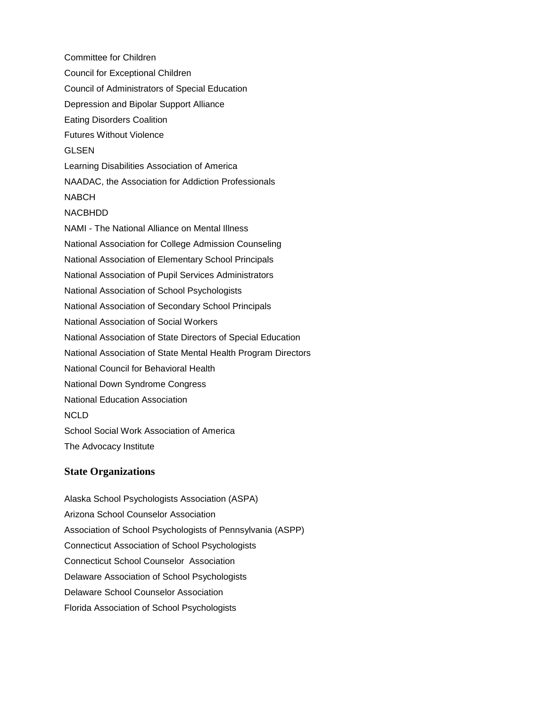Committee for Children Council for Exceptional Children Council of Administrators of Special Education Depression and Bipolar Support Alliance Eating Disorders Coalition Futures Without Violence GLSEN Learning Disabilities Association of America NAADAC, the Association for Addiction Professionals NABCH NACBHDD NAMI - The National Alliance on Mental Illness National Association for College Admission Counseling National Association of Elementary School Principals National Association of Pupil Services Administrators National Association of School Psychologists National Association of Secondary School Principals National Association of Social Workers National Association of State Directors of Special Education National Association of State Mental Health Program Directors National Council for Behavioral Health National Down Syndrome Congress National Education Association NCLD School Social Work Association of America The Advocacy Institute

## **State Organizations**

Alaska School Psychologists Association (ASPA) Arizona School Counselor Association Association of School Psychologists of Pennsylvania (ASPP) Connecticut Association of School Psychologists Connecticut School Counselor Association Delaware Association of School Psychologists Delaware School Counselor Association Florida Association of School Psychologists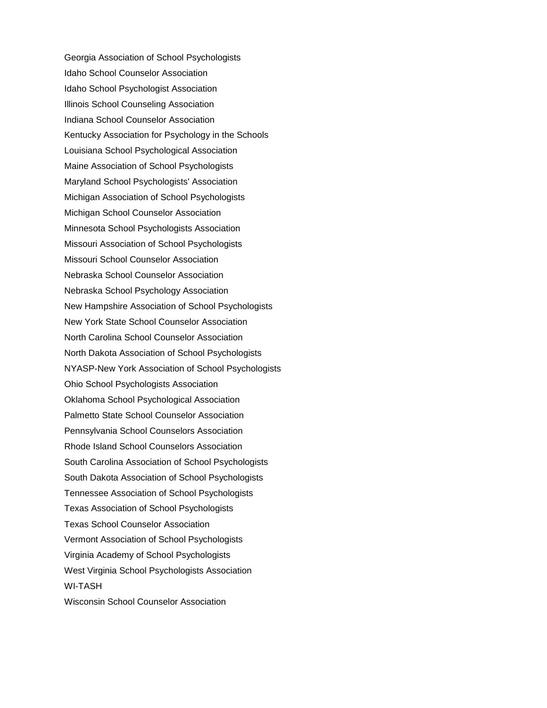Georgia Association of School Psychologists Idaho School Counselor Association Idaho School Psychologist Association Illinois School Counseling Association Indiana School Counselor Association Kentucky Association for Psychology in the Schools Louisiana School Psychological Association Maine Association of School Psychologists Maryland School Psychologists' Association Michigan Association of School Psychologists Michigan School Counselor Association Minnesota School Psychologists Association Missouri Association of School Psychologists Missouri School Counselor Association Nebraska School Counselor Association Nebraska School Psychology Association New Hampshire Association of School Psychologists New York State School Counselor Association North Carolina School Counselor Association North Dakota Association of School Psychologists NYASP-New York Association of School Psychologists Ohio School Psychologists Association Oklahoma School Psychological Association Palmetto State School Counselor Association Pennsylvania School Counselors Association Rhode Island School Counselors Association South Carolina Association of School Psychologists South Dakota Association of School Psychologists Tennessee Association of School Psychologists Texas Association of School Psychologists Texas School Counselor Association Vermont Association of School Psychologists Virginia Academy of School Psychologists West Virginia School Psychologists Association WI-TASH Wisconsin School Counselor Association